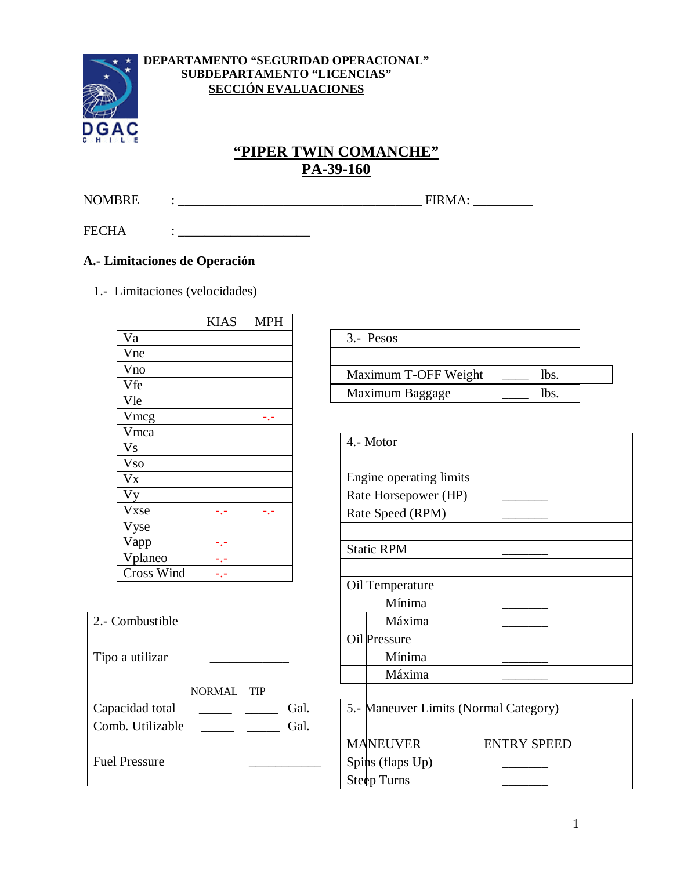

#### DEPARTAMENTO "SEGURIDAD OPERACIONAL" SUBDEPARTAMENTO "LICENCIAS" **SECCIÓN EVALUACIONES**

# "PIPER TWIN COMANCHE" PA-39-160

**NOMBRE** 

**FECHA** 

 $\overline{\phantom{0}}$ 

# A.- Limitaciones de Operación

1.- Limitaciones (velocidades)

 $\mathbf{r} = \mathbf{r} \times \mathbf{r}$  and  $\mathbf{r} = \mathbf{r} \times \mathbf{r}$  and  $\mathbf{r} = \mathbf{r} \times \mathbf{r}$ 

|                      | <b>KIAS</b>   | <b>MPH</b>      |      |                                       |                    |
|----------------------|---------------|-----------------|------|---------------------------------------|--------------------|
| Va                   |               |                 |      | 3.- Pesos                             |                    |
| Vne                  |               |                 |      |                                       |                    |
| Vno                  |               |                 |      | Maximum T-OFF Weight                  | lbs.               |
| Vfe                  |               |                 |      | Maximum Baggage                       | lbs.               |
| Vle                  |               |                 |      |                                       |                    |
| Vmcg                 |               | -.-             |      |                                       |                    |
| Vmca                 |               |                 |      |                                       |                    |
| <b>Vs</b>            |               |                 |      | 4.- Motor                             |                    |
| <b>Vso</b>           |               |                 |      |                                       |                    |
| $V_{X}$              |               |                 |      | Engine operating limits               |                    |
| <b>Vy</b>            |               |                 |      | Rate Horsepower (HP)                  |                    |
| <b>Vxse</b>          | -.-           | $\sim$ , $\sim$ |      | Rate Speed (RPM)                      |                    |
| Vyse                 |               |                 |      |                                       |                    |
| Vapp                 | -.-           |                 |      | <b>Static RPM</b>                     |                    |
| Vplaneo              | -.-           |                 |      |                                       |                    |
| <b>Cross Wind</b>    | -.-           |                 |      |                                       |                    |
|                      |               |                 |      | Oil Temperature                       |                    |
|                      |               |                 |      | Mínima                                |                    |
| 2.- Combustible      |               |                 |      | Máxima                                |                    |
|                      |               |                 |      | Oil Pressure                          |                    |
| Tipo a utilizar      |               |                 |      | Mínima                                |                    |
|                      |               |                 |      | Máxima                                |                    |
|                      | <b>NORMAL</b> | <b>TIP</b>      |      |                                       |                    |
| Capacidad total      |               |                 | Gal. | 5.- Maneuver Limits (Normal Category) |                    |
| Comb. Utilizable     |               |                 | Gal. |                                       |                    |
|                      |               |                 |      | <b>MANEUVER</b>                       | <b>ENTRY SPEED</b> |
| <b>Fuel Pressure</b> |               |                 |      | Spins (flaps Up)                      |                    |
|                      |               |                 |      | Steep Turns                           |                    |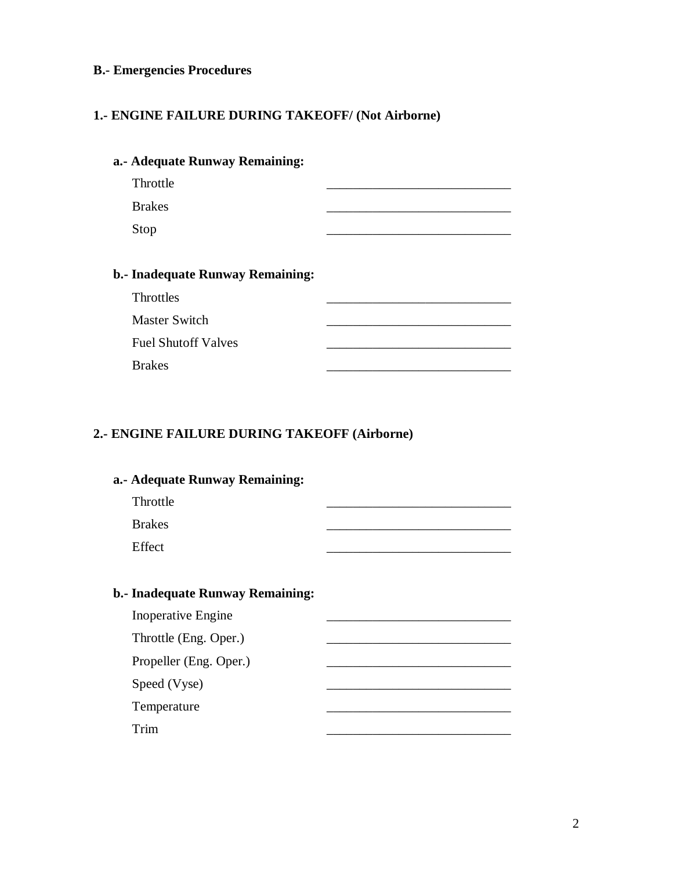# **B.- Emergencies Procedures**

### **1.- ENGINE FAILURE DURING TAKEOFF/ (Not Airborne)**

| a.- Adequate Runway Remaining:   |  |
|----------------------------------|--|
| Throttle                         |  |
| <b>Brakes</b>                    |  |
| Stop                             |  |
|                                  |  |
| b.- Inadequate Runway Remaining: |  |
| Throttles                        |  |
| <b>Master Switch</b>             |  |
| <b>Fuel Shutoff Valves</b>       |  |
| <b>Brakes</b>                    |  |

#### **2.- ENGINE FAILURE DURING TAKEOFF (Airborne)**

| a.- Adequate Runway Remaining:   |  |
|----------------------------------|--|
| Throttle                         |  |
| <b>Brakes</b>                    |  |
| Effect                           |  |
|                                  |  |
| b.- Inadequate Runway Remaining: |  |
| <b>Inoperative Engine</b>        |  |
| Throttle (Eng. Oper.)            |  |
| Propeller (Eng. Oper.)           |  |
| Speed (Vyse)                     |  |
| Temperature                      |  |
| Trim                             |  |
|                                  |  |